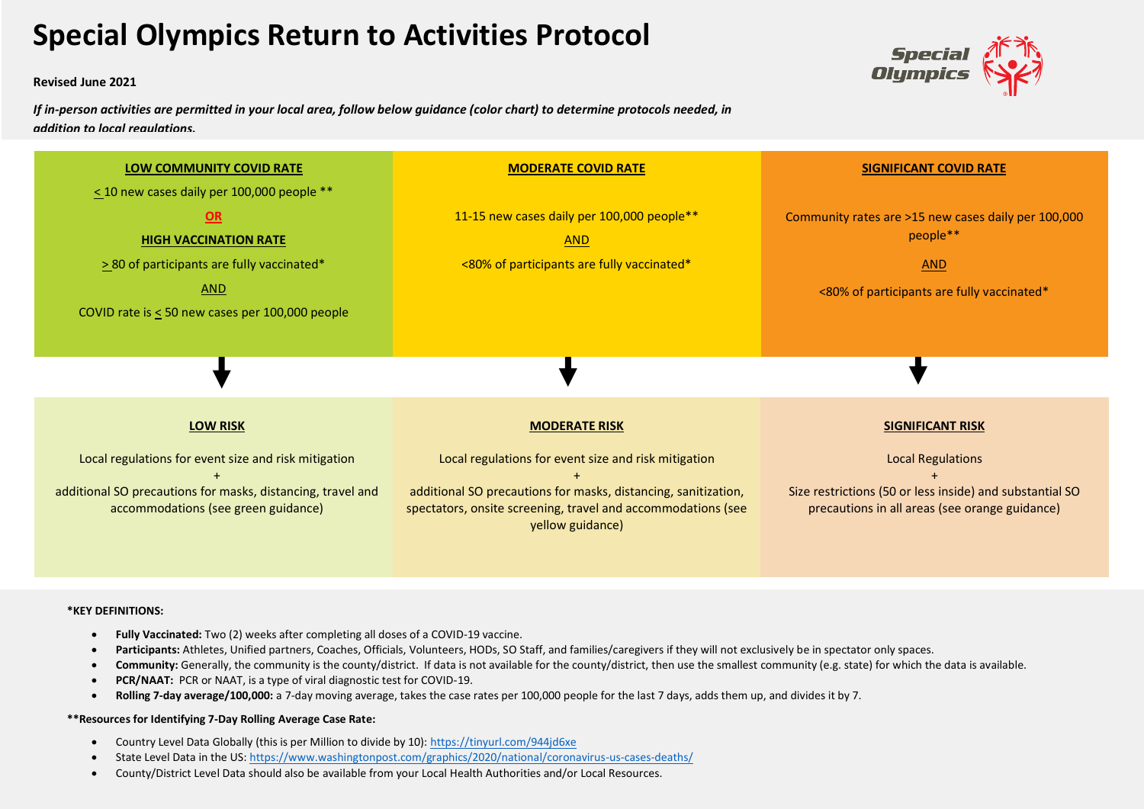## **Special Olympics Return to Activities Protocol**

**Revised June 2021**

*If in-person activities are permitted in your local area, follow below guidance (color chart) to determine protocols needed, in addition to local regulations.*





## **\*KEY DEFINITIONS:**

- **Fully Vaccinated:** Two (2) weeks after completing all doses of a COVID-19 vaccine.
- Participants: Athletes, Unified partners, Coaches, Officials, Volunteers, HODs, SO Staff, and families/caregivers if they will not exclusively be in spectator only spaces.
- Community: Generally, the community is the county/district. If data is not available for the county/district, then use the smallest community (e.g. state) for which the data is available.
- **PCR/NAAT:** PCR or NAAT, is a type of viral diagnostic test for COVID-19.
- **Rolling 7-day average/100,000:** a 7-day moving average, takes the case rates per 100,000 people for the last 7 days, adds them up, and divides it by 7.

## **\*\*Resources for Identifying 7-Day Rolling Average Case Rate:**

- Country Level Data Globally (this is per Million to divide by 10):<https://tinyurl.com/944jd6xe>
- State Level Data in the US: <https://www.washingtonpost.com/graphics/2020/national/coronavirus-us-cases-deaths/>
- County/District Level Data should also be available from your Local Health Authorities and/or Local Resources.